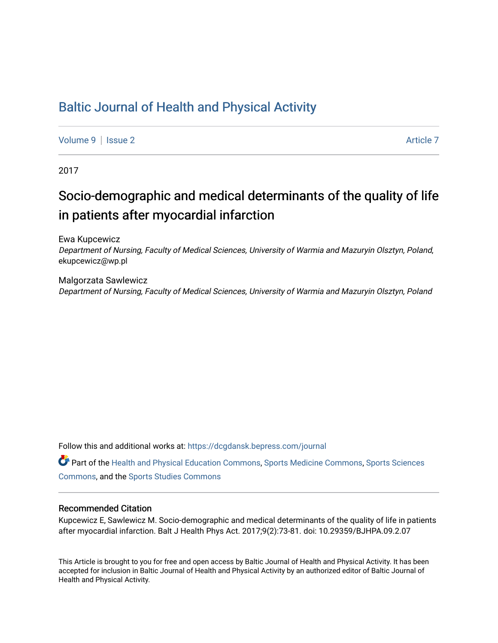# [Baltic Journal of Health and Physical Activity](https://dcgdansk.bepress.com/journal)

[Volume 9](https://dcgdansk.bepress.com/journal/vol9) | [Issue 2](https://dcgdansk.bepress.com/journal/vol9/iss2) Article 7

2017

# Socio-demographic and medical determinants of the quality of life in patients after myocardial infarction

Ewa Kupcewicz

Department of Nursing, Faculty of Medical Sciences, University of Warmia and Mazuryin Olsztyn, Poland, ekupcewicz@wp.pl

Malgorzata Sawlewicz Department of Nursing, Faculty of Medical Sciences, University of Warmia and Mazuryin Olsztyn, Poland

Follow this and additional works at: [https://dcgdansk.bepress.com/journal](https://dcgdansk.bepress.com/journal?utm_source=dcgdansk.bepress.com%2Fjournal%2Fvol9%2Fiss2%2F7&utm_medium=PDF&utm_campaign=PDFCoverPages)

Part of the [Health and Physical Education Commons](http://network.bepress.com/hgg/discipline/1327?utm_source=dcgdansk.bepress.com%2Fjournal%2Fvol9%2Fiss2%2F7&utm_medium=PDF&utm_campaign=PDFCoverPages), [Sports Medicine Commons,](http://network.bepress.com/hgg/discipline/1331?utm_source=dcgdansk.bepress.com%2Fjournal%2Fvol9%2Fiss2%2F7&utm_medium=PDF&utm_campaign=PDFCoverPages) [Sports Sciences](http://network.bepress.com/hgg/discipline/759?utm_source=dcgdansk.bepress.com%2Fjournal%2Fvol9%2Fiss2%2F7&utm_medium=PDF&utm_campaign=PDFCoverPages) [Commons](http://network.bepress.com/hgg/discipline/759?utm_source=dcgdansk.bepress.com%2Fjournal%2Fvol9%2Fiss2%2F7&utm_medium=PDF&utm_campaign=PDFCoverPages), and the [Sports Studies Commons](http://network.bepress.com/hgg/discipline/1198?utm_source=dcgdansk.bepress.com%2Fjournal%2Fvol9%2Fiss2%2F7&utm_medium=PDF&utm_campaign=PDFCoverPages) 

### Recommended Citation

Kupcewicz E, Sawlewicz M. Socio-demographic and medical determinants of the quality of life in patients after myocardial infarction. Balt J Health Phys Act. 2017;9(2):73-81. doi: 10.29359/BJHPA.09.2.07

This Article is brought to you for free and open access by Baltic Journal of Health and Physical Activity. It has been accepted for inclusion in Baltic Journal of Health and Physical Activity by an authorized editor of Baltic Journal of Health and Physical Activity.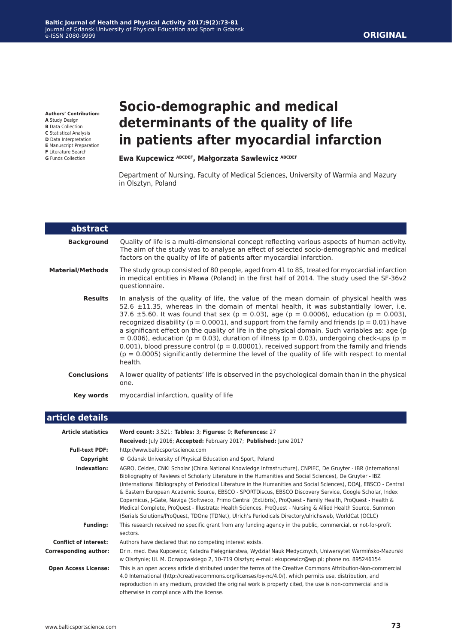**article details**

| Article statistics           | Word count: $3,521$ ; Tables: $3$ ; Figures: $0$ ; References: $27$                                                                                                                                                                                                                                                                                                                                                                                                                                                                                                                                                                                                                                                                                                                                  |
|------------------------------|------------------------------------------------------------------------------------------------------------------------------------------------------------------------------------------------------------------------------------------------------------------------------------------------------------------------------------------------------------------------------------------------------------------------------------------------------------------------------------------------------------------------------------------------------------------------------------------------------------------------------------------------------------------------------------------------------------------------------------------------------------------------------------------------------|
|                              | Received: July 2016; Accepted: February 2017; Published: June 2017                                                                                                                                                                                                                                                                                                                                                                                                                                                                                                                                                                                                                                                                                                                                   |
| <b>Full-text PDF:</b>        | http://www.balticsportscience.com                                                                                                                                                                                                                                                                                                                                                                                                                                                                                                                                                                                                                                                                                                                                                                    |
| Copyright                    | © Gdansk University of Physical Education and Sport, Poland                                                                                                                                                                                                                                                                                                                                                                                                                                                                                                                                                                                                                                                                                                                                          |
| Indexation:                  | AGRO, Celdes, CNKI Scholar (China National Knowledge Infrastructure), CNPIEC, De Gruyter - IBR (International<br>Bibliography of Reviews of Scholarly Literature in the Humanities and Social Sciences), De Gruyter - IBZ<br>(International Bibliography of Periodical Literature in the Humanities and Social Sciences), DOAJ, EBSCO - Central<br>& Eastern European Academic Source, EBSCO - SPORTDiscus, EBSCO Discovery Service, Google Scholar, Index<br>Copernicus, J-Gate, Naviga (Softweco, Primo Central (ExLibris), ProQuest - Family Health, ProQuest - Health &<br>Medical Complete, ProQuest - Illustrata: Health Sciences, ProQuest - Nursing & Allied Health Source, Summon<br>(Serials Solutions/ProQuest, TDOne (TDNet), Ulrich's Periodicals Directory/ulrichsweb, WorldCat (OCLC) |
| <b>Funding:</b>              | This research received no specific grant from any funding agency in the public, commercial, or not-for-profit<br>sectors.                                                                                                                                                                                                                                                                                                                                                                                                                                                                                                                                                                                                                                                                            |
| <b>Conflict of interest:</b> | Authors have declared that no competing interest exists.                                                                                                                                                                                                                                                                                                                                                                                                                                                                                                                                                                                                                                                                                                                                             |
| <b>Corresponding author:</b> | Dr n. med. Ewa Kupcewicz; Katedra Pielęgniarstwa, Wydział Nauk Medycznych, Uniwersytet Warmińsko-Mazurski<br>w Olsztynie; Ul. M. Oczapowskiego 2, 10-719 Olsztyn; e-mail: ekupcewicz@wp.pl; phone no. 895246154                                                                                                                                                                                                                                                                                                                                                                                                                                                                                                                                                                                      |
| <b>Open Access License:</b>  | This is an open access article distributed under the terms of the Creative Commons Attribution-Non-commercial<br>4.0 International (http://creativecommons.org/licenses/by-nc/4.0/), which permits use, distribution, and<br>reproduction in any medium, provided the original work is properly cited, the use is non-commercial and is<br>otherwise in compliance with the license.                                                                                                                                                                                                                                                                                                                                                                                                                 |
|                              |                                                                                                                                                                                                                                                                                                                                                                                                                                                                                                                                                                                                                                                                                                                                                                                                      |

### **Authors' Contribution:**

- **A** Study Design
- **B** Data Collection
- **C** Statistical Analysis
- **D** Data Interpretation **E** Manuscript Preparation
- **F** Literature Search
- **G** Funds Collection

# **Socio-demographic and medical determinants of the quality of life in patients after myocardial infarction**

### **Ewa Kupcewicz ABCDEF, Małgorzata Sawlewicz ABCDEF**

Department of Nursing, Faculty of Medical Sciences, University of Warmia and Mazury in Olsztyn, Poland

| abstract                |                                                                                                                                                                                                                                                                                                                                                                                                                                                                                                                                                                                                                                                                                                                                                                                                             |
|-------------------------|-------------------------------------------------------------------------------------------------------------------------------------------------------------------------------------------------------------------------------------------------------------------------------------------------------------------------------------------------------------------------------------------------------------------------------------------------------------------------------------------------------------------------------------------------------------------------------------------------------------------------------------------------------------------------------------------------------------------------------------------------------------------------------------------------------------|
| <b>Background</b>       | Quality of life is a multi-dimensional concept reflecting various aspects of human activity.<br>The aim of the study was to analyse an effect of selected socio-demographic and medical<br>factors on the quality of life of patients after myocardial infarction.                                                                                                                                                                                                                                                                                                                                                                                                                                                                                                                                          |
| <b>Material/Methods</b> | The study group consisted of 80 people, aged from 41 to 85, treated for myocardial infarction<br>in medical entities in Mława (Poland) in the first half of 2014. The study used the SF-36v2<br>questionnaire.                                                                                                                                                                                                                                                                                                                                                                                                                                                                                                                                                                                              |
| <b>Results</b>          | In analysis of the quality of life, the value of the mean domain of physical health was<br>52.6 $\pm$ 11.35, whereas in the domain of mental health, it was substantially lower, i.e.<br>37.6 $\pm$ 5.60. It was found that sex (p = 0.03), age (p = 0.0006), education (p = 0.003),<br>recognized disability ( $p = 0.0001$ ), and support from the family and friends ( $p = 0.01$ ) have<br>a significant effect on the quality of life in the physical domain. Such variables as: age (p<br>$= 0.006$ ), education (p = 0.03), duration of illness (p = 0.03), undergoing check-ups (p =<br>0.001), blood pressure control ( $p = 0.00001$ ), received support from the family and friends<br>$(p = 0.0005)$ significantly determine the level of the quality of life with respect to mental<br>health. |
| <b>Conclusions</b>      | A lower quality of patients' life is observed in the psychological domain than in the physical<br>one.                                                                                                                                                                                                                                                                                                                                                                                                                                                                                                                                                                                                                                                                                                      |
| <b>Key words</b>        | myocardial infarction, quality of life                                                                                                                                                                                                                                                                                                                                                                                                                                                                                                                                                                                                                                                                                                                                                                      |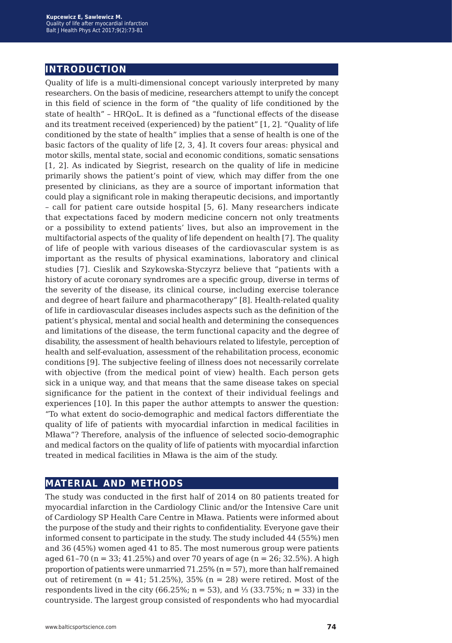## **introduction**

Quality of life is a multi-dimensional concept variously interpreted by many researchers. On the basis of medicine, researchers attempt to unify the concept in this field of science in the form of "the quality of life conditioned by the state of health" – HRQoL. It is defined as a "functional effects of the disease and its treatment received (experienced) by the patient" [1, 2]. "Quality of life conditioned by the state of health" implies that a sense of health is one of the basic factors of the quality of life [2, 3, 4]. It covers four areas: physical and motor skills, mental state, social and economic conditions, somatic sensations [1, 2]. As indicated by Siegrist, research on the quality of life in medicine primarily shows the patient's point of view, which may differ from the one presented by clinicians, as they are a source of important information that could play a significant role in making therapeutic decisions, and importantly – call for patient care outside hospital [5, 6]. Many researchers indicate that expectations faced by modern medicine concern not only treatments or a possibility to extend patients' lives, but also an improvement in the multifactorial aspects of the quality of life dependent on health [7]. The quality of life of people with various diseases of the cardiovascular system is as important as the results of physical examinations, laboratory and clinical studies [7]. Cieslik and Szykowska-Styczyrz believe that "patients with a history of acute coronary syndromes are a specific group, diverse in terms of the severity of the disease, its clinical course, including exercise tolerance and degree of heart failure and pharmacotherapy" [8]. Health-related quality of life in cardiovascular diseases includes aspects such as the definition of the patient's physical, mental and social health and determining the consequences and limitations of the disease, the term functional capacity and the degree of disability, the assessment of health behaviours related to lifestyle, perception of health and self-evaluation, assessment of the rehabilitation process, economic conditions [9]. The subjective feeling of illness does not necessarily correlate with objective (from the medical point of view) health. Each person gets sick in a unique way, and that means that the same disease takes on special significance for the patient in the context of their individual feelings and experiences [10]. In this paper the author attempts to answer the question: "To what extent do socio-demographic and medical factors differentiate the quality of life of patients with myocardial infarction in medical facilities in Mława"? Therefore, analysis of the influence of selected socio-demographic and medical factors on the quality of life of patients with myocardial infarction treated in medical facilities in Mława is the aim of the study.

## **material and methods**

The study was conducted in the first half of 2014 on 80 patients treated for myocardial infarction in the Cardiology Clinic and/or the Intensive Care unit of Cardiology SP Health Care Centre in Mława. Patients were informed about the purpose of the study and their rights to confidentiality. Everyone gave their informed consent to participate in the study. The study included 44 (55%) men and 36 (45%) women aged 41 to 85. The most numerous group were patients aged  $61-70$  (n = 33;  $41.25\%$ ) and over 70 years of age (n = 26; 32.5%). A high proportion of patients were unmarried  $71.25\%$  (n = 57), more than half remained out of retirement ( $n = 41$ ; 51.25%), 35% ( $n = 28$ ) were retired. Most of the respondents lived in the city (66.25%; n = 53), and ⅓ (33.75%; n = 33) in the countryside. The largest group consisted of respondents who had myocardial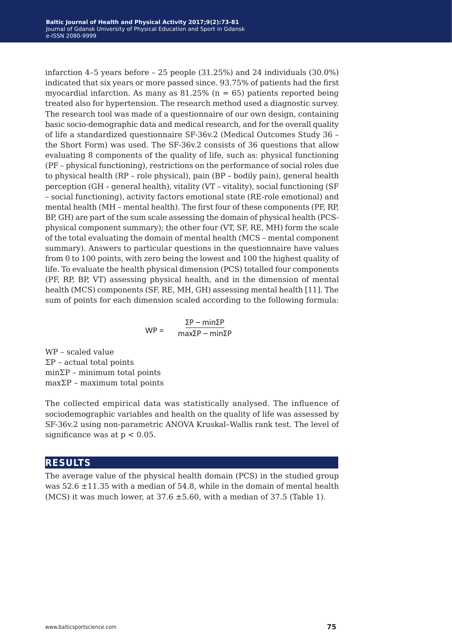infarction 4–5 years before – 25 people (31.25%) and 24 individuals (30.0%) indicated that six years or more passed since. 93.75% of patients had the first myocardial infarction. As many as  $81.25\%$  (n = 65) patients reported being treated also for hypertension. The research method used a diagnostic survey. The research tool was made of a questionnaire of our own design, containing basic socio-demographic data and medical research, and for the overall quality of life a standardized questionnaire SF-36v.2 (Medical Outcomes Study 36 – the Short Form) was used. The SF-36v.2 consists of 36 questions that allow evaluating 8 components of the quality of life, such as: physical functioning (PF – physical functioning), restrictions on the performance of social roles due to physical health (RP – role physical), pain (BP – bodily pain), general health perception (GH – general health), vitality (VT – vitality), social functioning (SF – social functioning), activity factors emotional state (RE-role emotional) and mental health (MH – mental health). The first four of these components (PF, RP, BP, GH) are part of the sum scale assessing the domain of physical health (PCSphysical component summary); the other four (VT, SF, RE, MH) form the scale of the total evaluating the domain of mental health (MCS – mental component summary). Answers to particular questions in the questionnaire have values from 0 to 100 points, with zero being the lowest and 100 the highest quality of life. To evaluate the health physical dimension (PCS) totalled four components (PF, RP, BP, VT) assessing physical health, and in the dimension of mental health (MCS) components (SF, RE, MH, GH) assessing mental health [11]. The sum of points for each dimension scaled according to the following formula:

$$
WP = \frac{\Sigma P - \min \Sigma P}{\max \Sigma P - \min \Sigma P}
$$

WP – scaled value ΣP – actual total points minΣP – minimum total points maxΣP – maximum total points

The collected empirical data was statistically analysed. The influence of sociodemographic variables and health on the quality of life was assessed by SF-36v.2 using non-parametric ANOVA Kruskal–Wallis rank test. The level of significance was at  $p < 0.05$ .

### **results**

The average value of the physical health domain (PCS) in the studied group was  $52.6 \pm 11.35$  with a median of 54.8, while in the domain of mental health (MCS) it was much lower, at  $37.6 \pm 5.60$ , with a median of  $37.5$  (Table 1).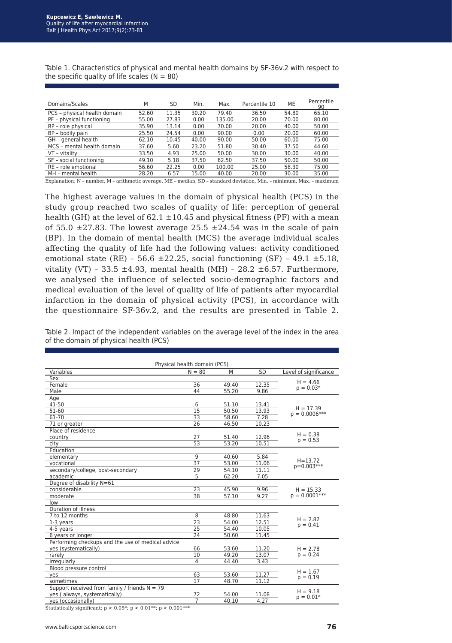Table 1. Characteristics of physical and mental health domains by SF-36v.2 with respect to the specific quality of life scales ( $N = 80$ )

| Domains/Scales               | M     | SD    | Min.  | Max.   | Percentile 10 | ME    | Percentile<br>90 |
|------------------------------|-------|-------|-------|--------|---------------|-------|------------------|
| PCS - physical health domain | 52.60 | 11.35 | 30.20 | 79.40  | 36.50         | 54.80 | 65.10            |
| PF - physical functioning    | 55.00 | 27.83 | 0.00  | 135.00 | 20.00         | 70.00 | 80.00            |
| RP - role physical           | 35.90 | 13.14 | 0.00  | 70.00  | 20.00         | 40.00 | 50.00            |
| BP - bodily pain             | 25.50 | 24.54 | 0.00  | 90.00  | 0.00          | 20.00 | 60.00            |
| GH - general health          | 62.10 | 10.45 | 40.00 | 90.00  | 50.00         | 60.00 | 75.00            |
| MCS - mental health domain   | 37.60 | 5.60  | 23.20 | 51.80  | 30.40         | 37.50 | 44.60            |
| VT - vitality                | 33.50 | 4.93  | 25.00 | 50.00  | 30.00         | 30.00 | 40.00            |
| SF - social functioning      | 49.10 | 5.18  | 37.50 | 62.50  | 37.50         | 50.00 | 50.00            |
| RE - role emotional          | 56.60 | 22.25 | 0.00  | 100.00 | 25.00         | 58.30 | 75.00            |
| MH - mental health           | 28.20 | 6.57  | 15.00 | 40.00  | 20.00         | 30.00 | 35.00            |

Explanation: N – number, M – arithmetic average, ME – median, SD – standard deviation, Min. – minimum, Max. – maximum

The highest average values in the domain of physical health (PCS) in the study group reached two scales of quality of life: perception of general health (GH) at the level of 62.1  $\pm$ 10.45 and physical fitness (PF) with a mean of 55.0  $\pm$ 27.83. The lowest average 25.5  $\pm$ 24.54 was in the scale of pain (BP). In the domain of mental health (MCS) the average individual scales affecting the quality of life had the following values: activity conditioned emotional state (RE) - 56.6  $\pm 22.25$ , social functioning (SF) - 49.1  $\pm 5.18$ , vitality (VT) - 33.5  $\pm$ 4.93, mental health (MH) - 28.2  $\pm$ 6.57. Furthermore, we analysed the influence of selected socio-demographic factors and medical evaluation of the level of quality of life of patients after myocardial infarction in the domain of physical activity (PCS), in accordance with the questionnaire SF-36v.2, and the results are presented in Table 2.

Table 2. Impact of the independent variables on the average level of the index in the area of the domain of physical health (PCS)

| Physical health domain (PCS)                      |                 |       |       |                                |  |  |
|---------------------------------------------------|-----------------|-------|-------|--------------------------------|--|--|
| Variables                                         | $N = 80$        | M     | SD    | Level of significance          |  |  |
| Sex                                               |                 |       |       |                                |  |  |
| Female                                            | 36              | 49.40 | 12.35 | $H = 4.66$<br>$p = 0.03*$      |  |  |
| Male                                              | 44              | 55.20 | 9.86  |                                |  |  |
| Age                                               |                 |       |       |                                |  |  |
| 41-50                                             | 6               | 51.10 | 13.41 | $H = 17.39$<br>$p = 0.0006***$ |  |  |
| $51 - 60$                                         | $\overline{15}$ | 50.50 | 13.93 |                                |  |  |
| 61-70                                             | 33              | 58.60 | 7.28  |                                |  |  |
| 71 or greater                                     | 26              | 46.50 | 10.23 |                                |  |  |
| Place of residence                                |                 |       |       |                                |  |  |
| country                                           | 27              | 51.40 | 12.96 | $H = 0.38$<br>$p = 0.53$       |  |  |
| city                                              | 53              | 53.20 | 10.51 |                                |  |  |
| Education                                         |                 |       |       |                                |  |  |
| elementary                                        | 9               | 40.60 | 5.84  |                                |  |  |
| vocational                                        | 37              | 53.00 | 11.06 | $H = 13.72$                    |  |  |
| secondary/college, post-secondary                 | 29              | 54.10 | 11.11 | $p=0.003***$                   |  |  |
| academic                                          | 5               | 62.20 | 7.05  |                                |  |  |
| Degree of disability N=61                         |                 |       |       |                                |  |  |
| considerable                                      | 23              | 45.90 | 9.96  | $H = 15.33$                    |  |  |
| moderate                                          | 38              | 57.10 | 9.27  | $p = 0.0001***$                |  |  |
| low                                               |                 |       | ÷,    |                                |  |  |
| Duration of illness                               |                 |       |       |                                |  |  |
| 7 to 12 months                                    | 8               | 48.80 | 11.63 |                                |  |  |
| 1-3 years                                         | 23              | 54.00 | 12.51 | $H = 2.82$                     |  |  |
| 4-5 years                                         | $\overline{25}$ | 54.40 | 10.05 | $p = 0.41$                     |  |  |
| 6 years or longer                                 | 24              | 50.60 | 11.45 |                                |  |  |
| Performing checkups and the use of medical advice |                 |       |       |                                |  |  |
| yes (systematically)                              | 66              | 53.60 | 11.20 | $H = 2.78$<br>$p = 0.24$       |  |  |
| rarely                                            | 10              | 49.20 | 13.07 |                                |  |  |
| irregularly                                       | 4               | 44.40 | 3.43  |                                |  |  |
| Blood pressure control                            |                 |       |       |                                |  |  |
| yes                                               | 63              | 53.60 | 11.27 | $H = 1.67$<br>$p = 0.19$       |  |  |
| sometimes                                         | 17              | 48.70 | 11.12 |                                |  |  |
| Support received from family / friends $N = 79$   |                 |       |       |                                |  |  |
| yes (always, systematically)                      | 72              | 54.00 | 11.08 | $H = 9.18$                     |  |  |
| yes (occasionally)                                | 7               | 40.10 | 4.27  | $p = 0.01*$                    |  |  |

Statistically significant:  $p < 0.05$ \*;  $p < 0.01$ \*\*;  $p < 0.001$ \*\*\*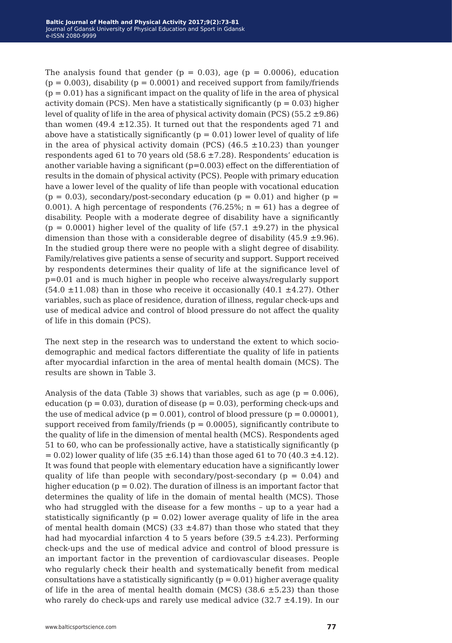The analysis found that gender ( $p = 0.03$ ), age ( $p = 0.0006$ ), education  $(p = 0.003)$ , disability  $(p = 0.0001)$  and received support from family/friends  $(p = 0.01)$  has a significant impact on the quality of life in the area of physical activity domain (PCS). Men have a statistically significantly ( $p = 0.03$ ) higher level of quality of life in the area of physical activity domain (PCS)  $(55.2 \pm 9.86)$ than women  $(49.4 \pm 12.35)$ . It turned out that the respondents aged 71 and above have a statistically significantly  $(p = 0.01)$  lower level of quality of life in the area of physical activity domain (PCS) (46.5  $\pm$ 10.23) than younger respondents aged 61 to 70 years old  $(58.6 \pm 7.28)$ . Respondents' education is another variable having a significant (p=0.003) effect on the differentiation of results in the domain of physical activity (PCS). People with primary education have a lower level of the quality of life than people with vocational education  $(p = 0.03)$ , secondary/post-secondary education  $(p = 0.01)$  and higher  $(p = 0.03)$ 0.001). A high percentage of respondents (76.25%;  $n = 61$ ) has a degree of disability. People with a moderate degree of disability have a significantly (p = 0.0001) higher level of the quality of life (57.1  $\pm$ 9.27) in the physical dimension than those with a considerable degree of disability (45.9  $\pm$ 9.96). In the studied group there were no people with a slight degree of disability. Family/relatives give patients a sense of security and support. Support received by respondents determines their quality of life at the significance level of p=0.01 and is much higher in people who receive always/regularly support (54.0  $\pm$ 11.08) than in those who receive it occasionally (40.1  $\pm$ 4.27). Other variables, such as place of residence, duration of illness, regular check-ups and use of medical advice and control of blood pressure do not affect the quality of life in this domain (PCS).

The next step in the research was to understand the extent to which sociodemographic and medical factors differentiate the quality of life in patients after myocardial infarction in the area of mental health domain (MCS). The results are shown in Table 3.

Analysis of the data (Table 3) shows that variables, such as age  $(p = 0.006)$ , education ( $p = 0.03$ ), duration of disease ( $p = 0.03$ ), performing check-ups and the use of medical advice  $(p = 0.001)$ , control of blood pressure  $(p = 0.00001)$ , support received from family/friends ( $p = 0.0005$ ), significantly contribute to the quality of life in the dimension of mental health (MCS). Respondents aged 51 to 60, who can be professionally active, have a statistically significantly (p  $= 0.02$ ) lower quality of life (35  $\pm$ 6.14) than those aged 61 to 70 (40.3  $\pm$ 4.12). It was found that people with elementary education have a significantly lower quality of life than people with secondary/post-secondary ( $p = 0.04$ ) and higher education ( $p = 0.02$ ). The duration of illness is an important factor that determines the quality of life in the domain of mental health (MCS). Those who had struggled with the disease for a few months – up to a year had a statistically significantly ( $p = 0.02$ ) lower average quality of life in the area of mental health domain (MCS) (33  $\pm$ 4.87) than those who stated that they had had myocardial infarction 4 to 5 years before (39.5  $\pm$ 4.23). Performing check-ups and the use of medical advice and control of blood pressure is an important factor in the prevention of cardiovascular diseases. People who regularly check their health and systematically benefit from medical consultations have a statistically significantly ( $p = 0.01$ ) higher average quality of life in the area of mental health domain (MCS) (38.6  $\pm$ 5.23) than those who rarely do check-ups and rarely use medical advice  $(32.7 \pm 4.19)$ . In our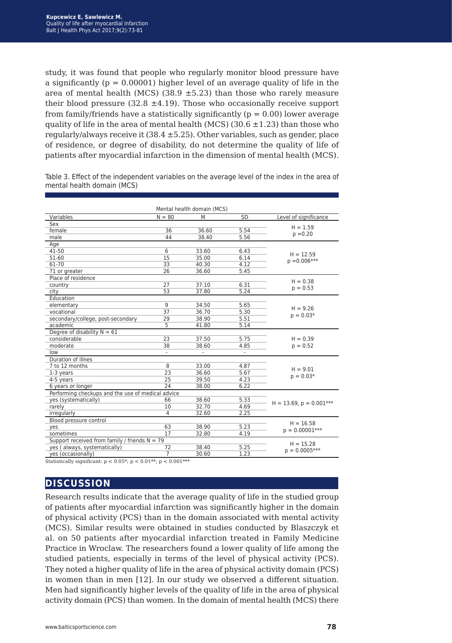study, it was found that people who regularly monitor blood pressure have a significantly ( $p = 0.00001$ ) higher level of an average quality of life in the area of mental health (MCS) (38.9  $\pm$ 5.23) than those who rarely measure their blood pressure (32.8  $\pm$ 4.19). Those who occasionally receive support from family/friends have a statistically significantly ( $p = 0.00$ ) lower average quality of life in the area of mental health (MCS) (30.6  $\pm$ 1.23) than those who regularly/always receive it  $(38.4 \pm 5.25)$ . Other variables, such as gender, place of residence, or degree of disability, do not determine the quality of life of patients after myocardial infarction in the dimension of mental health (MCS).

Table 3. Effect of the independent variables on the average level of the index in the area of mental health domain (MCS)

|                                                   |                | Mental health domain (MCS) |                |                              |  |
|---------------------------------------------------|----------------|----------------------------|----------------|------------------------------|--|
| Variables                                         | $N = 80$       | M                          | <b>SD</b>      | Level of significance        |  |
| Sex                                               |                |                            |                |                              |  |
| female                                            | 36             | 36.60                      | 5.54           | $H = 1.59$                   |  |
| male                                              | 44             | 38.40                      | 5.56           | $p = 0.20$                   |  |
| Age                                               |                |                            |                |                              |  |
| 41-50                                             | 6              | 33.60                      | 6.43           | $H = 12.59$                  |  |
| 51-60                                             | 15             | 35.00                      | 6.14           | $p = 0.006***$               |  |
| 61-70                                             | 33             | 40.30                      | 4.12           |                              |  |
| 71 or greater                                     | 26             | 36.60                      | 5.45           |                              |  |
| Place of residence                                |                |                            |                | $H = 0.38$                   |  |
| country                                           | 27             | 37.10                      | 6.31           | $p = 0.53$                   |  |
| city                                              | 53             | 37.80                      | 5.24           |                              |  |
| Education                                         |                |                            |                |                              |  |
| elementary                                        | 9              | 34.50                      | 5.65           | $H = 9.26$                   |  |
| vocational                                        | 37             | 36.70                      | 5.30           | $p = 0.03*$                  |  |
| secondary/college, post-secondary                 | 29             | 38.90                      | 5.51           |                              |  |
| academic                                          | 5              | 41.80                      | 5.14           |                              |  |
| Degree of disability $N = 61$                     |                |                            |                |                              |  |
| considerable                                      | 23             | 37.50                      | 5.75           | $H = 0.39$                   |  |
| moderate                                          | 38             | 38.60                      | 4.85           | $p = 0.52$                   |  |
| low                                               | L,             |                            | $\blacksquare$ |                              |  |
| Duration of illnes                                |                |                            |                |                              |  |
| 7 to 12 months                                    | 8              | 33.00                      | 4.87           | $H = 9.01$                   |  |
| 1-3 years                                         | 23             | 36.60                      | 5.67           | $p = 0.03*$                  |  |
| 4-5 years                                         | 25             | 39.50                      | 4.23           |                              |  |
| 6 years or longer                                 | 24             | 38.00                      | 6.22           |                              |  |
| Performing checkups and the use of medical advice |                |                            |                |                              |  |
| yes (systematically)                              | 66             | 38.60                      | 5.33           | $H = 13.69$ , $p = 0.001***$ |  |
| rarely                                            | 10             | 32.70                      | 4.69           |                              |  |
| irregularly                                       | $\overline{4}$ | 32.60                      | 2.25           |                              |  |
| Blood pressure control                            | $H = 16.58$    |                            |                |                              |  |
| yes                                               | 63             | 38.90                      | 5.23           | $p = 0.00001***$             |  |
| sometimes                                         | 17             | 32.80                      | 4.19           |                              |  |
| Support received from family / friends $N = 79$   | $H = 15.28$    |                            |                |                              |  |
| yes (always, systematically)                      | 72             | 38.40                      | 5.25           | $p = 0.0005***$              |  |
| yes (occasionally)                                | $\overline{7}$ | 30.60                      | 1.23           |                              |  |

Statistically significant:  $p < 0.05^*$ ;  $p < 0.01^{**}$ ;  $p < 0.001^{***}$ 

## **discussion**

Research results indicate that the average quality of life in the studied group of patients after myocardial infarction was significantly higher in the domain of physical activity (PCS) than in the domain associated with mental activity (MCS). Similar results were obtained in studies conducted by Blaszczyk et al. on 50 patients after myocardial infarction treated in Family Medicine Practice in Wroclaw. The researchers found a lower quality of life among the studied patients, especially in terms of the level of physical activity (PCS). They noted a higher quality of life in the area of physical activity domain (PCS) in women than in men [12]. In our study we observed a different situation. Men had significantly higher levels of the quality of life in the area of physical activity domain (PCS) than women. In the domain of mental health (MCS) there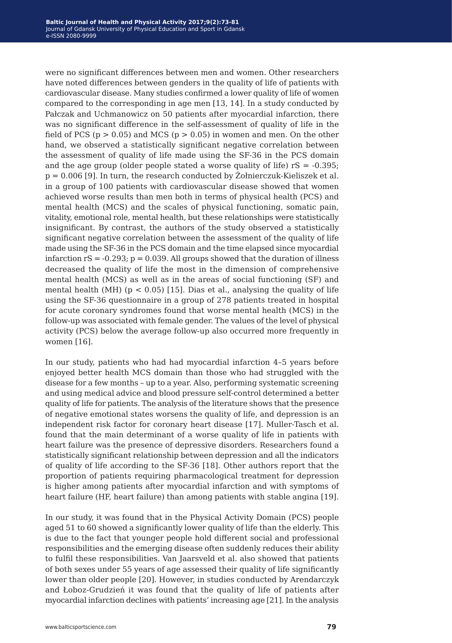were no significant differences between men and women. Other researchers have noted differences between genders in the quality of life of patients with cardiovascular disease. Many studies confirmed a lower quality of life of women compared to the corresponding in age men [13, 14]. In a study conducted by Pałczak and Uchmanowicz on 50 patients after myocardial infarction, there was no significant difference in the self-assessment of quality of life in the field of PCS ( $p > 0.05$ ) and MCS ( $p > 0.05$ ) in women and men. On the other hand, we observed a statistically significant negative correlation between the assessment of quality of life made using the SF-36 in the PCS domain and the age group (older people stated a worse quality of life)  $rs = -0.395$ ;  $p = 0.006$  [9]. In turn, the research conducted by  $\dot{Z}$ ołnierczuk-Kieliszek et al. in a group of 100 patients with cardiovascular disease showed that women achieved worse results than men both in terms of physical health (PCS) and mental health (MCS) and the scales of physical functioning, somatic pain, vitality, emotional role, mental health, but these relationships were statistically insignificant. By contrast, the authors of the study observed a statistically significant negative correlation between the assessment of the quality of life made using the SF-36 in the PCS domain and the time elapsed since myocardial infarction  $rS = -0.293$ ;  $p = 0.039$ . All groups showed that the duration of illness decreased the quality of life the most in the dimension of comprehensive mental health (MCS) as well as in the areas of social functioning (SF) and mental health (MH) ( $p < 0.05$ ) [15]. Dias et al., analysing the quality of life using the SF-36 questionnaire in a group of 278 patients treated in hospital for acute coronary syndromes found that worse mental health (MCS) in the follow-up was associated with female gender. The values of the level of physical activity (PCS) below the average follow-up also occurred more frequently in women [16].

In our study, patients who had had myocardial infarction 4–5 years before enjoyed better health MCS domain than those who had struggled with the disease for a few months – up to a year. Also, performing systematic screening and using medical advice and blood pressure self-control determined a better quality of life for patients. The analysis of the literature shows that the presence of negative emotional states worsens the quality of life, and depression is an independent risk factor for coronary heart disease [17]. Muller-Tasch et al. found that the main determinant of a worse quality of life in patients with heart failure was the presence of depressive disorders. Researchers found a statistically significant relationship between depression and all the indicators of quality of life according to the SF-36 [18]. Other authors report that the proportion of patients requiring pharmacological treatment for depression is higher among patients after myocardial infarction and with symptoms of heart failure (HF, heart failure) than among patients with stable angina [19].

In our study, it was found that in the Physical Activity Domain (PCS) people aged 51 to 60 showed a significantly lower quality of life than the elderly. This is due to the fact that younger people hold different social and professional responsibilities and the emerging disease often suddenly reduces their ability to fulfil these responsibilities. Van Jaarsveld et al. also showed that patients of both sexes under 55 years of age assessed their quality of life significantly lower than older people [20]. However, in studies conducted by Arendarczyk and Łoboz-Grudzień it was found that the quality of life of patients after myocardial infarction declines with patients' increasing age [21]. In the analysis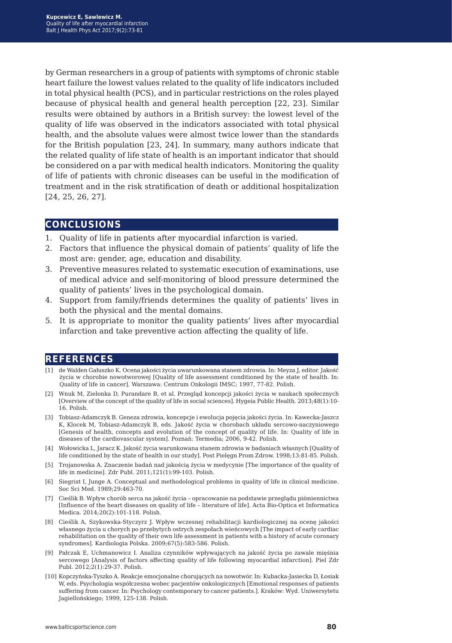by German researchers in a group of patients with symptoms of chronic stable heart failure the lowest values related to the quality of life indicators included in total physical health (PCS), and in particular restrictions on the roles played because of physical health and general health perception [22, 23]. Similar results were obtained by authors in a British survey: the lowest level of the quality of life was observed in the indicators associated with total physical health, and the absolute values were almost twice lower than the standards for the British population [23, 24]. In summary, many authors indicate that the related quality of life state of health is an important indicator that should be considered on a par with medical health indicators. Monitoring the quality of life of patients with chronic diseases can be useful in the modification of treatment and in the risk stratification of death or additional hospitalization [24, 25, 26, 27].

### **conclusions**

- 1. Quality of life in patients after myocardial infarction is varied.
- 2. Factors that influence the physical domain of patients' quality of life the most are: gender, age, education and disability.
- 3. Preventive measures related to systematic execution of examinations, use of medical advice and self-monitoring of blood pressure determined the quality of patients' lives in the psychological domain.
- 4. Support from family/friends determines the quality of patients' lives in both the physical and the mental domains.
- 5. It is appropriate to monitor the quality patients' lives after myocardial infarction and take preventive action affecting the quality of life.

### **references**

- [1] de Walden Gałuszko K. Ocena jakości życia uwarunkowana stanem zdrowia. In: Meyza J, editor. Jakość życia w chorobie nowotworowej [Quality of life assessment conditioned by the state of health. In: Quality of life in cancer]. Warszawa: Centrum Onkologii IMSC; 1997, 77-82. Polish.
- [2] Wnuk M, Zielonka D, Purandare B, et al. Przegląd koncepcji jakości życia w naukach społecznych [Overview of the concept of the quality of life in social sciences]. Hygeia Public Health. 2013;48(1):10- 16. Polish.
- [3] Tobiasz-Adamczyk B. Geneza zdrowia, koncepcje i ewolucja pojęcia jakości życia. In: Kawecka-Jaszcz K, Klocek M, Tobiasz-Adamczyk B, eds. Jakość życia w chorobach układu sercowo-naczyniowego [Genesis of health, concepts and evolution of the concept of quality of life. In: Quality of life in diseases of the cardiovascular system]. Poznań: Termedia; 2006, 9-42. Polish.
- [4] Wołowicka L, Jaracz K. Jakość życia warunkowana stanem zdrowia w badaniach własnych [Quality of life conditioned by the state of health in our study]. Post Pielęgn Prom Zdrow. 1998;13:81-85. Polish.
- [5] Trojanowska A. Znaczenie badań nad jakością życia w medycynie [The importance of the quality of life in medicine]. Zdr Publ. 2011;121(1):99-103. Polish.
- [6] Siegrist I, Junge A. Conceptual and methodological problems in quality of life in clinical medicine. Soc Sci Med. 1989;29:463-70.
- [7] Cieślik B. Wpływ chorób serca na jakość życia opracowanie na podstawie przeglądu piśmiennictwa [Influence of the heart diseases on quality of life – literature of life]. Acta Bio-Optica et Informatica Medica. 2014;20(2):101-118. Polish.
- [8] Cieślik A, Szykowska-Styczyrz J. Wpływ wczesnej rehabilitacji kardiologicznej na ocenę jakości własnego życia u chorych po przebytych ostrych zespołach wieńcowych [The impact of early cardiac rehabilitation on the quality of their own life assessment in patients with a history of acute coronary syndromes]. Kardiologia Polska. 2009;67(5):583-586. Polish.
- [9] Pałczak E, Uchmanowicz I. Analiza czynników wpływających na jakość życia po zawale mięśnia sercowego [Analysis of factors affecting quality of life following myocardial infarction]. Piel Zdr Publ. 2012;2(1):29-37. Polish.
- [10] Kopczyńska-Tyszko A. Reakcje emocjonalne chorujących na nowotwór. In: Kubacka-Jasiecka D, Łosiak W, eds. Psychologia współczesna wobec pacjentów onkologicznych [Emotional responses of patients suffering from cancer. In: Psychology contemporary to cancer patients.]. Kraków: Wyd. Uniwersytetu Jagiellońskiego; 1999, 125-138. Polish.